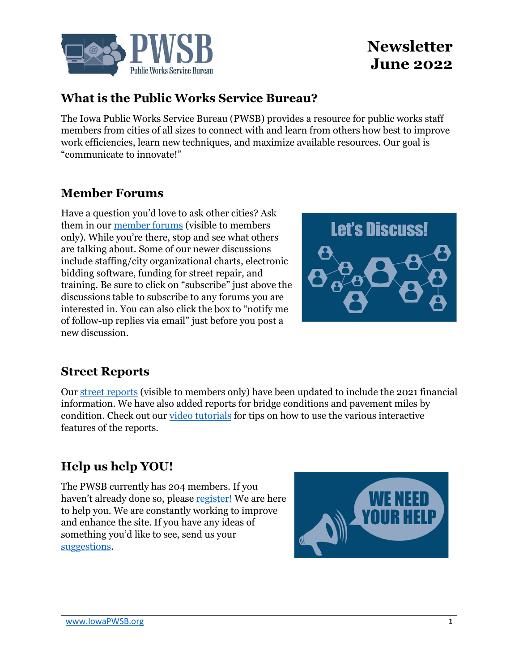

### **What is the Public Works Service Bureau?**

The Iowa Public Works Service Bureau (PWSB) provides a resource for public works staff members from cities of all sizes to connect with and learn from others how best to improve work efficiencies, learn new techniques, and maximize available resources. Our goal is "communicate to innovate!"

### **Member Forums**

Have a question you'd love to ask other cities? Ask them in our [member forums](https://www.iowapwsb.org/forums/) (visible to members only). While you're there, stop and see what others are talking about. Some of our newer discussions include staffing/city organizational charts, electronic bidding software, funding for street repair, and training. Be sure to click on "subscribe" just above the discussions table to subscribe to any forums you are interested in. You can also click the box to "notify me of follow-up replies via email" just before you post a new discussion.



#### **Street Reports**

Our [street reports](https://www.iowapwsb.org/street-reports/) (visible to members only) have been updated to include the 2021 financial information. We have also added reports for bridge conditions and pavement miles by condition. Check out our [video tutorials](https://www.iowapwsb.org/video-tutorials/) for tips on how to use the various interactive features of the reports.

# **Help us help YOU!**

The PWSB currently has 204 members. If you haven't already done so, please [register!](https://www.iowapwsb.org/member-registration/) We are here to help you. We are constantly working to improve and enhance the site. If you have any ideas of something you'd like to see, send us your [suggestions.](https://www.iowapwsb.org/suggestions/)